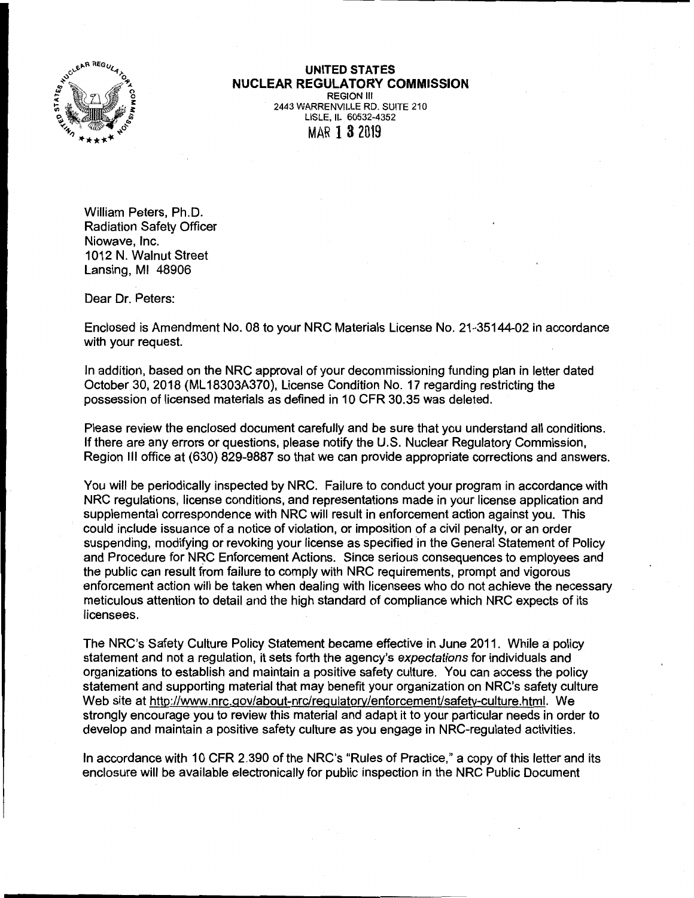

## **UNITED STATES NUCLEAR REGULATORY COMMISSION**  REGION Ill

2443 WARRENVILLE RD. SUITE 210 LISLE, IL 60532-4352 MAR 1 8 2019

William Peters, Ph.D. Radiation Safety Officer Niowave, Inc. 1012 N. Walnut Street Lansing, Ml 48906

Dear Dr. Peters:

Enclosed is Amendment No. 08 to your NRG Materials License No. 21-35144-02 in accordance with your request.

In addition, based on the NRG approval of your decommissioning funding plan in letter dated October 30, 2018 (ML 18303A370), License Condition No. 17 regarding restricting the possession of licensed materials as defined in 10 CFR 30.35 was deleted.

Please review the enclosed document carefully and be sure that you understand all conditions. If there are any errors or questions, please notify the U.S. Nuclear Regulatory Commission, Region Ill office at (630) 829-9887 so that we can provide appropriate corrections and answers.

You will be periodically inspected by NRG. Failure to conduct your program in accordance with NRG regulations, license conditions, and representations made in your license application and supplemental correspondence with NRG will result in enforcement action against you. This could include issuance of a notice of violation, or imposition of a civil penalty, or an order suspending, modifying or revoking your license as specified in the General Statement of Policy and Procedure for NRG Enforcement Actions. Since serious consequences to employees and the public can result from failure to comply with NRG requirements, prompt and vigorous enforcement action will be taken when dealing with licensees who do not achieve the necessary meticulous attention to detail and the high standard of compliance which NRG expects of its licensees.

The NRC's Safety Culture Policy Statement became effective in June 2011. While a policy statement and not a regulation, it sets forth the agency's expectations for individuals and organizations to establish and maintain a positive safety culture. You can access the policy statement and supporting material that may benefit your organization on NRC's safety culture Web site at http://www.nrc.gov/about-nrc/regulatory/enforcement/safety-culture.html. We strongly encourage you to review this material and adapt it to your particular needs in order to develop and maintain a positive safety culture as you engage in NRG-regulated activities.

In accordance with 10 CFR 2.390 of the NRC's "Rules of Practice," a copy of this letter and its enclosure will be available electronically for public inspection in the NRG Public Document